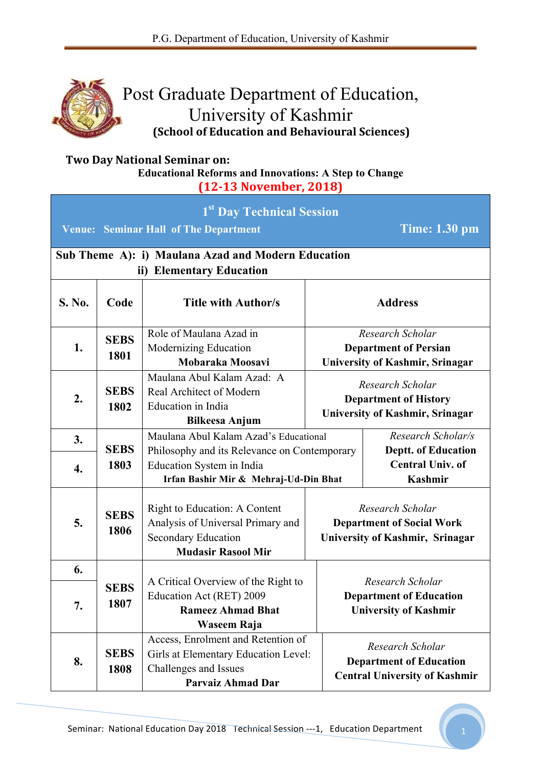

## Post Graduate Department of Education, University of Kashmir **(School of Education and Behavioural Sciences)**

## **Two Day National Seminar on: Educational Reforms and Innovations: A Step to Change**

**(12-13 November, 2018)**

| 1st Day Technical Session<br><b>Time: 1.30 pm</b><br><b>Venue: Seminar Hall of The Department</b> |                     |                                                                                                                                 |  |                                                                                            |  |  |  |
|---------------------------------------------------------------------------------------------------|---------------------|---------------------------------------------------------------------------------------------------------------------------------|--|--------------------------------------------------------------------------------------------|--|--|--|
| Sub Theme A): i) Maulana Azad and Modern Education<br>ii) Elementary Education                    |                     |                                                                                                                                 |  |                                                                                            |  |  |  |
| S. No.                                                                                            | Code                | <b>Title with Author/s</b>                                                                                                      |  | <b>Address</b>                                                                             |  |  |  |
| 1.                                                                                                | <b>SEBS</b><br>1801 | Role of Maulana Azad in<br>Modernizing Education<br>Mobaraka Moosavi                                                            |  | Research Scholar<br><b>Department of Persian</b><br>University of Kashmir, Srinagar        |  |  |  |
| 2.                                                                                                | <b>SEBS</b><br>1802 | Maulana Abul Kalam Azad: A<br>Real Architect of Modern<br>Education in India<br><b>Bilkeesa Anjum</b>                           |  | Research Scholar<br><b>Department of History</b><br><b>University of Kashmir, Srinagar</b> |  |  |  |
| 3.                                                                                                | <b>SEBS</b>         | Maulana Abul Kalam Azad's Educational<br>Philosophy and its Relevance on Contemporary                                           |  | Research Scholar/s<br><b>Deptt. of Education</b>                                           |  |  |  |
| 4.                                                                                                | 1803                | Education System in India<br>Irfan Bashir Mir & Mehraj-Ud-Din Bhat                                                              |  | <b>Central Univ. of</b><br>Kashmir                                                         |  |  |  |
| 5.                                                                                                | <b>SEBS</b><br>1806 | Right to Education: A Content<br>Analysis of Universal Primary and<br><b>Secondary Education</b><br><b>Mudasir Rasool Mir</b>   |  | Research Scholar<br><b>Department of Social Work</b><br>University of Kashmir, Srinagar    |  |  |  |
| 6.                                                                                                |                     | A Critical Overview of the Right to                                                                                             |  | Research Scholar                                                                           |  |  |  |
| 7.                                                                                                | <b>SEBS</b><br>1807 | Education Act (RET) 2009<br><b>Rameez Ahmad Bhat</b><br>Waseem Raja                                                             |  | <b>Department of Education</b><br><b>University of Kashmir</b>                             |  |  |  |
| 8.                                                                                                | <b>SEBS</b><br>1808 | Access, Enrolment and Retention of<br>Girls at Elementary Education Level:<br>Challenges and Issues<br><b>Parvaiz Ahmad Dar</b> |  | Research Scholar<br><b>Department of Education</b><br><b>Central University of Kashmir</b> |  |  |  |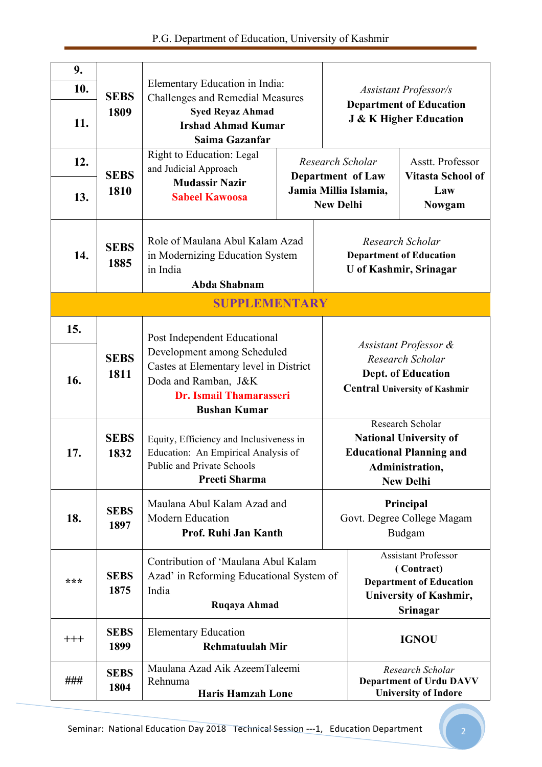|  | P.G. Department of Education, University of Kashmir |  |  |
|--|-----------------------------------------------------|--|--|
|  |                                                     |  |  |

| 9.<br>10.<br>11. | <b>SEBS</b><br>1809                                                                         | Elementary Education in India:<br><b>Challenges and Remedial Measures</b><br><b>Syed Reyaz Ahmad</b><br><b>Irshad Ahmad Kumar</b><br>Saima Gazanfar |  |                                                                                     | <b>Assistant Professor/s</b><br><b>Department of Education</b><br><b>J &amp; K Higher Education</b>                                |                                                                                                                         |  |
|------------------|---------------------------------------------------------------------------------------------|-----------------------------------------------------------------------------------------------------------------------------------------------------|--|-------------------------------------------------------------------------------------|------------------------------------------------------------------------------------------------------------------------------------|-------------------------------------------------------------------------------------------------------------------------|--|
| 12.              | <b>SEBS</b>                                                                                 | <b>Right to Education: Legal</b><br>and Judicial Approach<br><b>Mudassir Nazir</b><br><b>Sabeel Kawoosa</b>                                         |  |                                                                                     | Asstt. Professor<br>Research Scholar<br><b>Vitasta School of</b><br>Department of Law                                              |                                                                                                                         |  |
| 13.              | 1810                                                                                        |                                                                                                                                                     |  |                                                                                     | Jamia Millia Islamia,<br>Law<br><b>New Delhi</b><br><b>Nowgam</b>                                                                  |                                                                                                                         |  |
| 14.              | <b>SEBS</b><br>1885                                                                         | Role of Maulana Abul Kalam Azad<br>in Modernizing Education System<br>in India<br>Abda Shabnam                                                      |  | Research Scholar<br><b>Department of Education</b><br><b>U</b> of Kashmir, Srinagar |                                                                                                                                    |                                                                                                                         |  |
|                  |                                                                                             | <b>SUPPLEMENTARY</b>                                                                                                                                |  |                                                                                     |                                                                                                                                    |                                                                                                                         |  |
| 15.              |                                                                                             | Post Independent Educational                                                                                                                        |  |                                                                                     |                                                                                                                                    |                                                                                                                         |  |
| 16.              | <b>SEBS</b><br>1811                                                                         | Development among Scheduled<br>Castes at Elementary level in District<br>Doda and Ramban, J&K<br>Dr. Ismail Thamarasseri<br><b>Bushan Kumar</b>     |  |                                                                                     | Assistant Professor &<br>Research Scholar<br><b>Dept. of Education</b><br><b>Central University of Kashmir</b>                     |                                                                                                                         |  |
| 17.              | <b>SEBS</b><br>1832                                                                         | Equity, Efficiency and Inclusiveness in<br>Education: An Empirical Analysis of<br>Public and Private Schools<br>Preeti Sharma                       |  |                                                                                     | Research Scholar<br><b>National University of</b><br><b>Educational Planning and</b><br><b>Administration.</b><br><b>New Delhi</b> |                                                                                                                         |  |
| 18.              | <b>SEBS</b><br>1897                                                                         | Maulana Abul Kalam Azad and<br><b>Modern Education</b><br>Prof. Ruhi Jan Kanth                                                                      |  |                                                                                     | Principal<br>Govt. Degree College Magam<br>Budgam                                                                                  |                                                                                                                         |  |
| ***              | <b>SEBS</b><br>1875                                                                         | Contribution of 'Maulana Abul Kalam<br>Azad' in Reforming Educational System of<br>India<br>Ruqaya Ahmad                                            |  |                                                                                     |                                                                                                                                    | <b>Assistant Professor</b><br>(Contract)<br><b>Department of Education</b><br><b>University of Kashmir,</b><br>Srinagar |  |
| $^{+++}$         | <b>SEBS</b><br>1899                                                                         | <b>Elementary Education</b><br><b>Rehmatuulah Mir</b>                                                                                               |  | <b>IGNOU</b>                                                                        |                                                                                                                                    |                                                                                                                         |  |
| ###              | Maulana Azad Aik AzeemTaleemi<br><b>SEBS</b><br>Rehnuma<br>1804<br><b>Haris Hamzah Lone</b> |                                                                                                                                                     |  |                                                                                     | Research Scholar<br><b>Department of Urdu DAVV</b><br><b>University of Indore</b>                                                  |                                                                                                                         |  |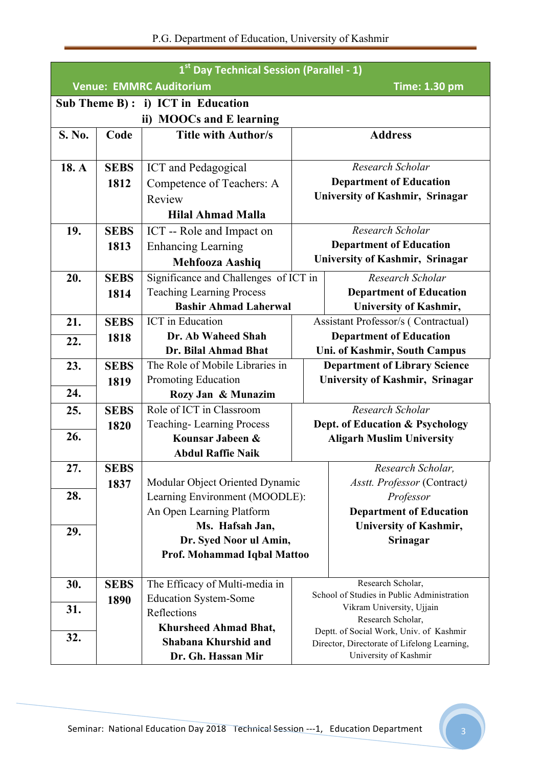| 1st Day Technical Session (Parallel - 1)               |             |                                                       |                                         |                                                |  |  |  |
|--------------------------------------------------------|-------------|-------------------------------------------------------|-----------------------------------------|------------------------------------------------|--|--|--|
| <b>Venue: EMMRC Auditorium</b><br><b>Time: 1.30 pm</b> |             |                                                       |                                         |                                                |  |  |  |
|                                                        |             | Sub Theme $B$ ): i) ICT in Education                  |                                         |                                                |  |  |  |
| ii) MOOCs and E learning                               |             |                                                       |                                         |                                                |  |  |  |
| S. No.                                                 | Code        | <b>Title with Author/s</b>                            |                                         | <b>Address</b>                                 |  |  |  |
|                                                        |             |                                                       |                                         |                                                |  |  |  |
| 18. A                                                  | <b>SEBS</b> | <b>ICT</b> and Pedagogical                            |                                         | Research Scholar                               |  |  |  |
|                                                        | 1812        | Competence of Teachers: A                             |                                         | <b>Department of Education</b>                 |  |  |  |
|                                                        |             | Review                                                | <b>University of Kashmir, Srinagar</b>  |                                                |  |  |  |
|                                                        |             | <b>Hilal Ahmad Malla</b>                              |                                         |                                                |  |  |  |
| 19.                                                    | <b>SEBS</b> | ICT -- Role and Impact on                             |                                         | Research Scholar                               |  |  |  |
|                                                        | 1813        | <b>Enhancing Learning</b>                             |                                         | <b>Department of Education</b>                 |  |  |  |
|                                                        |             | <b>Mehfooza Aashiq</b>                                |                                         | <b>University of Kashmir, Srinagar</b>         |  |  |  |
| 20.                                                    | <b>SEBS</b> | Significance and Challenges of ICT in                 |                                         | Research Scholar                               |  |  |  |
|                                                        | 1814        | <b>Teaching Learning Process</b>                      |                                         | <b>Department of Education</b>                 |  |  |  |
|                                                        |             | <b>Bashir Ahmad Laherwal</b>                          |                                         | <b>University of Kashmir,</b>                  |  |  |  |
| 21.                                                    | <b>SEBS</b> | <b>ICT</b> in Education                               |                                         | Assistant Professor/s (Contractual)            |  |  |  |
| 22.                                                    | 1818        | Dr. Ab Waheed Shah                                    | <b>Department of Education</b>          |                                                |  |  |  |
|                                                        |             | Dr. Bilal Ahmad Bhat                                  | Uni. of Kashmir, South Campus           |                                                |  |  |  |
| 23.                                                    | <b>SEBS</b> | The Role of Mobile Libraries in                       | <b>Department of Library Science</b>    |                                                |  |  |  |
|                                                        | 1819        | Promoting Education                                   | <b>University of Kashmir, Srinagar</b>  |                                                |  |  |  |
| 24.                                                    |             | Rozy Jan & Munazim                                    |                                         |                                                |  |  |  |
| 25.                                                    | <b>SEBS</b> | Role of ICT in Classroom                              |                                         | Research Scholar                               |  |  |  |
|                                                        | 1820        | <b>Teaching-Learning Process</b>                      |                                         | Dept. of Education & Psychology                |  |  |  |
| 26.                                                    |             | Kounsar Jabeen &                                      |                                         | <b>Aligarh Muslim University</b>               |  |  |  |
|                                                        |             | <b>Abdul Raffie Naik</b>                              |                                         |                                                |  |  |  |
| 27.                                                    | <b>SEBS</b> |                                                       |                                         | Research Scholar,                              |  |  |  |
|                                                        | 1837        | Modular Object Oriented Dynamic                       |                                         | Asstt. Professor (Contract)                    |  |  |  |
| 28.                                                    |             | Learning Environment (MOODLE):                        |                                         | Professor                                      |  |  |  |
|                                                        |             | An Open Learning Platform                             |                                         | <b>Department of Education</b>                 |  |  |  |
| 29.                                                    |             | Ms. Hafsah Jan,                                       |                                         | University of Kashmir,                         |  |  |  |
|                                                        |             | Dr. Syed Noor ul Amin,<br>Prof. Mohammad Iqbal Mattoo |                                         | Srinagar                                       |  |  |  |
|                                                        |             |                                                       |                                         |                                                |  |  |  |
| 30.                                                    | <b>SEBS</b> | The Efficacy of Multi-media in                        |                                         | Research Scholar,                              |  |  |  |
|                                                        | 1890        | <b>Education System-Some</b>                          |                                         | School of Studies in Public Administration     |  |  |  |
| 31.                                                    |             | Reflections                                           |                                         | Vikram University, Ujjain<br>Research Scholar, |  |  |  |
|                                                        |             | <b>Khursheed Ahmad Bhat,</b>                          | Deptt. of Social Work, Univ. of Kashmir |                                                |  |  |  |
| 32.                                                    |             | Shabana Khurshid and                                  |                                         | Director, Directorate of Lifelong Learning,    |  |  |  |
|                                                        |             | Dr. Gh. Hassan Mir                                    | University of Kashmir                   |                                                |  |  |  |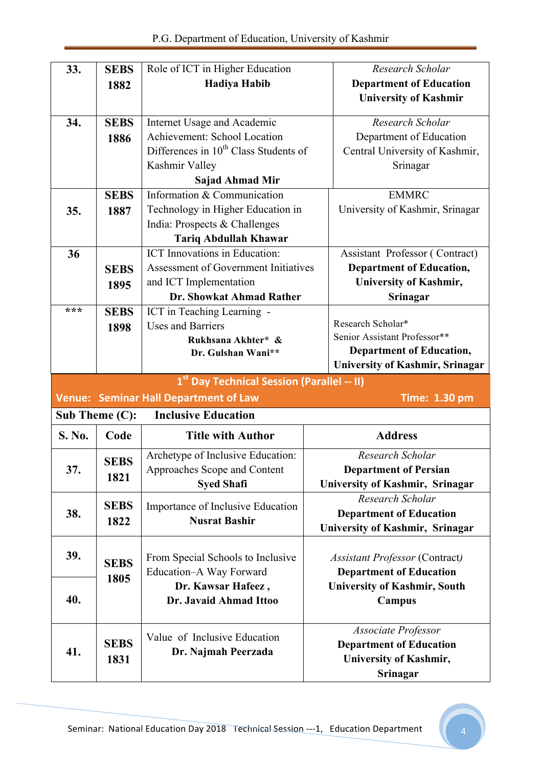P.G. Department of Education, University of Kashmir

| 33.                                                    | <b>SEBS</b>    | Role of ICT in Higher Education                   | Research Scholar                       |  |  |  |
|--------------------------------------------------------|----------------|---------------------------------------------------|----------------------------------------|--|--|--|
|                                                        | 1882           | <b>Hadiya Habib</b>                               | <b>Department of Education</b>         |  |  |  |
|                                                        |                |                                                   | <b>University of Kashmir</b>           |  |  |  |
|                                                        |                |                                                   |                                        |  |  |  |
| 34.                                                    | <b>SEBS</b>    | Internet Usage and Academic                       | Research Scholar                       |  |  |  |
|                                                        | 1886           | Achievement: School Location                      | Department of Education                |  |  |  |
|                                                        |                | Differences in 10 <sup>th</sup> Class Students of | Central University of Kashmir,         |  |  |  |
|                                                        |                | Kashmir Valley                                    | Srinagar                               |  |  |  |
|                                                        |                | <b>Sajad Ahmad Mir</b>                            |                                        |  |  |  |
|                                                        | <b>SEBS</b>    | Information & Communication                       | <b>EMMRC</b>                           |  |  |  |
| 35.                                                    | 1887           | Technology in Higher Education in                 | University of Kashmir, Srinagar        |  |  |  |
|                                                        |                | India: Prospects & Challenges                     |                                        |  |  |  |
|                                                        |                | <b>Tariq Abdullah Khawar</b>                      |                                        |  |  |  |
| 36                                                     |                | <b>ICT</b> Innovations in Education:              | Assistant Professor (Contract)         |  |  |  |
|                                                        | <b>SEBS</b>    | <b>Assessment of Government Initiatives</b>       | <b>Department of Education,</b>        |  |  |  |
|                                                        | 1895           | and ICT Implementation                            | University of Kashmir,                 |  |  |  |
|                                                        |                | Dr. Showkat Ahmad Rather                          | Srinagar                               |  |  |  |
| ***                                                    | <b>SEBS</b>    | ICT in Teaching Learning -                        |                                        |  |  |  |
|                                                        | 1898           | <b>Uses and Barriers</b>                          | Research Scholar*                      |  |  |  |
|                                                        |                | Rukhsana Akhter* &                                | Senior Assistant Professor**           |  |  |  |
|                                                        |                | Dr. Gulshan Wani**                                | <b>Department of Education,</b>        |  |  |  |
|                                                        |                |                                                   | <b>University of Kashmir, Srinagar</b> |  |  |  |
| 1 <sup>st</sup> Day Technical Session (Parallel -- II) |                |                                                   |                                        |  |  |  |
|                                                        |                | <b>Venue: Seminar Hall Department of Law</b>      | <b>Time: 1.30 pm</b>                   |  |  |  |
|                                                        | Sub Theme (C): | <b>Inclusive Education</b>                        |                                        |  |  |  |
| S. No.                                                 | Code           | <b>Title with Author</b>                          | <b>Address</b>                         |  |  |  |
|                                                        | <b>SEBS</b>    | Archetype of Inclusive Education:                 | Research Scholar                       |  |  |  |
| 37.                                                    | 1821           | Approaches Scope and Content                      | <b>Department of Persian</b>           |  |  |  |
|                                                        |                | <b>Syed Shafi</b>                                 | University of Kashmir, Srinagar        |  |  |  |
|                                                        |                |                                                   | Research Scholar                       |  |  |  |
| 38.                                                    |                |                                                   |                                        |  |  |  |
|                                                        | <b>SEBS</b>    | Importance of Inclusive Education                 | <b>Department of Education</b>         |  |  |  |
|                                                        | 1822           | <b>Nusrat Bashir</b>                              | University of Kashmir, Srinagar        |  |  |  |
|                                                        |                |                                                   |                                        |  |  |  |
| 39.                                                    |                | From Special Schools to Inclusive                 | <b>Assistant Professor (Contract)</b>  |  |  |  |
|                                                        | <b>SEBS</b>    | Education-A Way Forward                           | <b>Department of Education</b>         |  |  |  |
|                                                        | 1805           | Dr. Kawsar Hafeez,                                | <b>University of Kashmir, South</b>    |  |  |  |
| 40.                                                    |                | Dr. Javaid Ahmad Ittoo                            | Campus                                 |  |  |  |
|                                                        |                |                                                   | <b>Associate Professor</b>             |  |  |  |
|                                                        | <b>SEBS</b>    | Value of Inclusive Education                      | <b>Department of Education</b>         |  |  |  |
| 41.                                                    | 1831           | Dr. Najmah Peerzada                               | University of Kashmir,                 |  |  |  |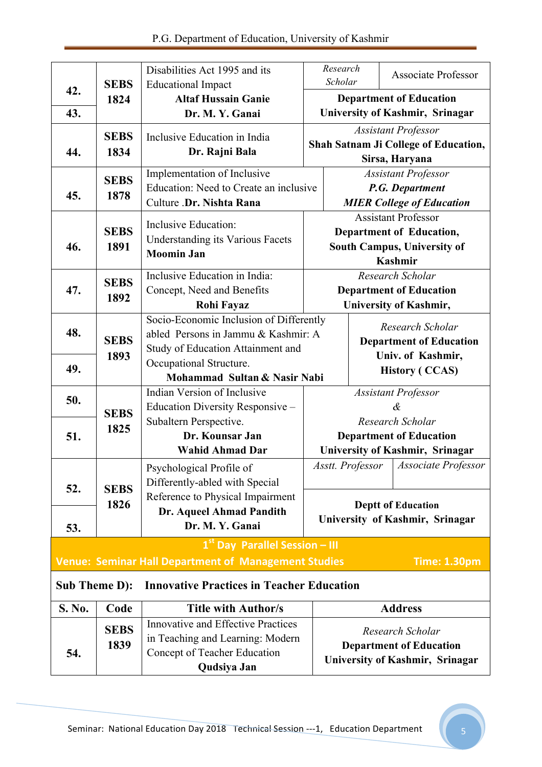|                      | <b>SEBS</b> | Disabilities Act 1995 and its<br><b>Educational Impact</b>  |                                            | Research<br>Scholar                                           |  | Associate Professor                    |
|----------------------|-------------|-------------------------------------------------------------|--------------------------------------------|---------------------------------------------------------------|--|----------------------------------------|
| 42.                  | 1824        | <b>Altaf Hussain Ganie</b>                                  |                                            |                                                               |  | <b>Department of Education</b>         |
| 43.                  |             | Dr. M. Y. Ganai                                             |                                            |                                                               |  | <b>University of Kashmir, Srinagar</b> |
|                      | <b>SEBS</b> | Inclusive Education in India                                |                                            |                                                               |  | <b>Assistant Professor</b>             |
| 44.                  | 1834        | Dr. Rajni Bala                                              |                                            | <b>Shah Satnam Ji College of Education,</b><br>Sirsa, Haryana |  |                                        |
|                      |             | Implementation of Inclusive                                 |                                            |                                                               |  | <b>Assistant Professor</b>             |
|                      | <b>SEBS</b> | Education: Need to Create an inclusive                      | P.G. Department                            |                                                               |  |                                        |
| 45.                  | 1878        | Culture .Dr. Nishta Rana                                    |                                            | <b>MIER College of Education</b>                              |  |                                        |
|                      |             | Inclusive Education:                                        |                                            |                                                               |  | <b>Assistant Professor</b>             |
|                      | <b>SEBS</b> | <b>Understanding its Various Facets</b>                     |                                            | Department of Education,<br>South Campus, University of       |  |                                        |
| 46.                  | 1891        | <b>Moomin Jan</b>                                           |                                            |                                                               |  |                                        |
|                      |             |                                                             |                                            |                                                               |  | Kashmir                                |
|                      | <b>SEBS</b> | Inclusive Education in India:                               |                                            |                                                               |  | Research Scholar                       |
| 47.                  | 1892        | Concept, Need and Benefits                                  |                                            | <b>Department of Education</b>                                |  |                                        |
|                      |             | <b>Rohi Fayaz</b>                                           |                                            |                                                               |  | University of Kashmir,                 |
| 48.                  |             | Socio-Economic Inclusion of Differently                     |                                            |                                                               |  | Research Scholar                       |
|                      | <b>SEBS</b> | abled Persons in Jammu & Kashmir: A                         |                                            |                                                               |  | <b>Department of Education</b>         |
|                      | 1893        | Study of Education Attainment and                           | Univ. of Kashmir,<br><b>History (CCAS)</b> |                                                               |  |                                        |
| 49.                  |             | Occupational Structure.<br>Mohammad Sultan & Nasir Nabi     |                                            |                                                               |  |                                        |
|                      |             | Indian Version of Inclusive                                 |                                            | <b>Assistant Professor</b>                                    |  |                                        |
| 50.                  |             | Education Diversity Responsive -                            |                                            |                                                               |  | &                                      |
|                      | <b>SEBS</b> | Subaltern Perspective.                                      |                                            | Research Scholar<br><b>Department of Education</b>            |  |                                        |
| 51.                  | 1825        | Dr. Kounsar Jan                                             |                                            |                                                               |  |                                        |
|                      |             | <b>Wahid Ahmad Dar</b>                                      | University of Kashmir, Srinagar            |                                                               |  |                                        |
|                      |             | Psychological Profile of                                    |                                            |                                                               |  | Asstt. Professor   Associate Professor |
|                      |             | Differently-abled with Special                              |                                            |                                                               |  |                                        |
| 52.                  | <b>SEBS</b> | Reference to Physical Impairment                            |                                            |                                                               |  |                                        |
|                      | 1826        | Dr. Aqueel Ahmad Pandith                                    |                                            |                                                               |  | <b>Deptt of Education</b>              |
| 53.                  |             | Dr. M. Y. Ganai                                             |                                            | University of Kashmir, Srinagar                               |  |                                        |
|                      |             | $1st$ Day Parallel Session - III                            |                                            |                                                               |  |                                        |
|                      |             | <b>Venue: Seminar Hall Department of Management Studies</b> |                                            |                                                               |  | <b>Time: 1.30pm</b>                    |
| <b>Sub Theme D):</b> |             | <b>Innovative Practices in Teacher Education</b>            |                                            |                                                               |  |                                        |
| S. No.               | Code        | <b>Title with Author/s</b>                                  |                                            |                                                               |  | <b>Address</b>                         |
|                      |             | <b>Innovative and Effective Practices</b>                   |                                            |                                                               |  |                                        |
|                      | <b>SEBS</b> | in Teaching and Learning: Modern                            |                                            |                                                               |  | Research Scholar                       |
| 54.                  | 1839        | Concept of Teacher Education                                |                                            | <b>Department of Education</b>                                |  |                                        |
|                      |             | Qudsiya Jan                                                 |                                            |                                                               |  | University of Kashmir, Srinagar        |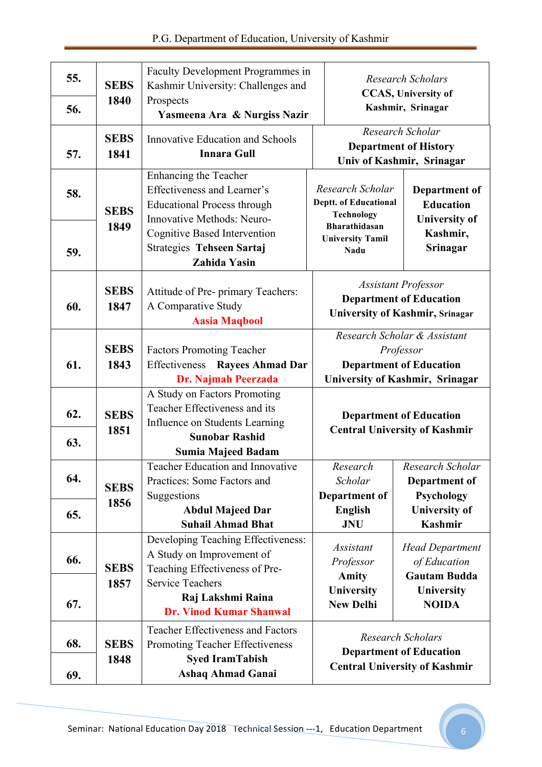| 55.        | <b>SEBS</b>         | Faculty Development Programmes in<br>Kashmir University: Challenges and                                                                               |                                                                                                                       | <b>Research Scholars</b><br><b>CCAS</b> , University of                                            |  |
|------------|---------------------|-------------------------------------------------------------------------------------------------------------------------------------------------------|-----------------------------------------------------------------------------------------------------------------------|----------------------------------------------------------------------------------------------------|--|
| 56.        | 1840                | Prospects<br>Yasmeena Ara & Nurgiss Nazir                                                                                                             |                                                                                                                       | Kashmir, Srinagar                                                                                  |  |
| 57.        | <b>SEBS</b><br>1841 | <b>Innovative Education and Schools</b><br><b>Innara Gull</b>                                                                                         |                                                                                                                       | Research Scholar<br><b>Department of History</b><br>Univ of Kashmir, Srinagar                      |  |
| 58.        | <b>SEBS</b>         | Enhancing the Teacher<br>Effectiveness and Learner's<br><b>Educational Process through</b><br>Innovative Methods: Neuro-                              | Research Scholar<br><b>Deptt. of Educational</b><br><b>Technology</b>                                                 | Department of<br><b>Education</b><br><b>University of</b>                                          |  |
| 59.        | 1849                | <b>Cognitive Based Intervention</b><br><b>Strategies Tehseen Sartaj</b><br><b>Zahida Yasin</b>                                                        | <b>Bharathidasan</b><br><b>University Tamil</b><br><b>Nadu</b>                                                        | Kashmir,<br>Srinagar                                                                               |  |
| 60.        | <b>SEBS</b><br>1847 | Attitude of Pre- primary Teachers:<br>A Comparative Study<br><b>Aasia Maqbool</b>                                                                     | <b>Assistant Professor</b><br><b>Department of Education</b><br><b>University of Kashmir, Srinagar</b>                |                                                                                                    |  |
| 61.        | <b>SEBS</b><br>1843 | <b>Factors Promoting Teacher</b><br>Effectiveness<br><b>Rayees Ahmad Dar</b><br>Dr. Najmah Peerzada                                                   | Research Scholar & Assistant<br>Professor<br><b>Department of Education</b><br><b>University of Kashmir, Srinagar</b> |                                                                                                    |  |
| 62.<br>63. | <b>SEBS</b><br>1851 | A Study on Factors Promoting<br>Teacher Effectiveness and its<br>Influence on Students Learning<br><b>Sunobar Rashid</b><br><b>Sumia Majeed Badam</b> | <b>Department of Education</b><br><b>Central University of Kashmir</b>                                                |                                                                                                    |  |
| 64.        | <b>SEBS</b><br>1856 | Teacher Education and Innovative<br>Practices: Some Factors and<br>Suggestions                                                                        | Research<br>Scholar<br>Department of                                                                                  | Research Scholar<br>Department of<br>Psychology                                                    |  |
| 65.        |                     | <b>Abdul Majeed Dar</b><br><b>Suhail Ahmad Bhat</b>                                                                                                   | <b>English</b><br><b>JNU</b>                                                                                          | <b>University of</b><br><b>Kashmir</b>                                                             |  |
| 66.        | <b>SEBS</b><br>1857 | Developing Teaching Effectiveness:<br>A Study on Improvement of<br>Teaching Effectiveness of Pre-<br><b>Service Teachers</b>                          | <i>Assistant</i><br>Professor<br><b>Amity</b>                                                                         | <b>Head Department</b><br>of Education<br><b>Gautam Budda</b>                                      |  |
| 67.        |                     | Raj Lakshmi Raina<br><b>Dr. Vinod Kumar Shanwal</b>                                                                                                   | University<br><b>New Delhi</b>                                                                                        | University<br><b>NOIDA</b>                                                                         |  |
| 68.<br>69. | <b>SEBS</b><br>1848 | <b>Teacher Effectiveness and Factors</b><br>Promoting Teacher Effectiveness<br><b>Syed IramTabish</b><br><b>Ashaq Ahmad Ganai</b>                     |                                                                                                                       | <b>Research Scholars</b><br><b>Department of Education</b><br><b>Central University of Kashmir</b> |  |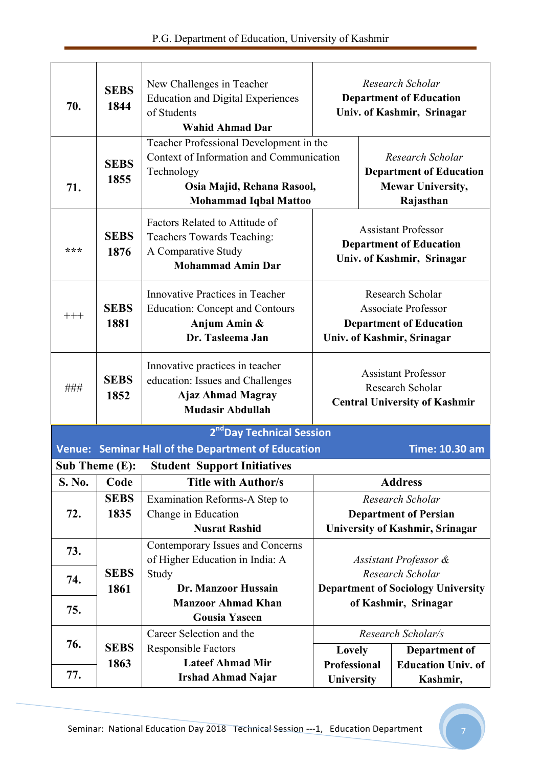| 70.                                   | <b>SEBS</b><br>1844 | New Challenges in Teacher<br><b>Education and Digital Experiences</b><br>of Students<br><b>Wahid Ahmad Dar</b>                                                  | Research Scholar<br><b>Department of Education</b><br>Univ. of Kashmir, Srinagar                               |                                                                                             |                                                  |  |
|---------------------------------------|---------------------|-----------------------------------------------------------------------------------------------------------------------------------------------------------------|----------------------------------------------------------------------------------------------------------------|---------------------------------------------------------------------------------------------|--------------------------------------------------|--|
| 71.                                   | <b>SEBS</b><br>1855 | Teacher Professional Development in the<br>Context of Information and Communication<br>Technology<br>Osia Majid, Rehana Rasool,<br><b>Mohammad Iqbal Mattoo</b> |                                                                                                                | Research Scholar<br><b>Department of Education</b><br><b>Mewar University,</b><br>Rajasthan |                                                  |  |
| ***                                   | <b>SEBS</b><br>1876 | Factors Related to Attitude of<br>Teachers Towards Teaching:<br>A Comparative Study<br><b>Mohammad Amin Dar</b>                                                 | <b>Assistant Professor</b><br><b>Department of Education</b><br>Univ. of Kashmir, Srinagar                     |                                                                                             |                                                  |  |
| $+++$                                 | <b>SEBS</b><br>1881 | Innovative Practices in Teacher<br><b>Education: Concept and Contours</b><br>Anjum Amin &<br>Dr. Tasleema Jan                                                   | Research Scholar<br><b>Associate Professor</b><br><b>Department of Education</b><br>Univ. of Kashmir, Srinagar |                                                                                             |                                                  |  |
| ###                                   | <b>SEBS</b><br>1852 | Innovative practices in teacher<br>education: Issues and Challenges<br><b>Ajaz Ahmad Magray</b><br><b>Mudasir Abdullah</b>                                      | <b>Assistant Professor</b><br>Research Scholar<br><b>Central University of Kashmir</b>                         |                                                                                             |                                                  |  |
| 2 <sup>nd</sup> Day Technical Session |                     |                                                                                                                                                                 |                                                                                                                |                                                                                             |                                                  |  |
|                                       |                     | Venue: Seminar Hall of the Department of Education                                                                                                              |                                                                                                                |                                                                                             | <b>Time: 10.30 am</b>                            |  |
| Sub Theme $(E)$ :                     |                     | <b>Student Support Initiatives</b>                                                                                                                              |                                                                                                                |                                                                                             |                                                  |  |
| S. No.                                | Code                | <b>Title with Author/s</b>                                                                                                                                      |                                                                                                                |                                                                                             | <b>Address</b>                                   |  |
| 72.                                   | <b>SEBS</b><br>1835 | Examination Reforms-A Step to                                                                                                                                   |                                                                                                                |                                                                                             | Research Scholar<br><b>Department of Persian</b> |  |
|                                       |                     | Change in Education<br><b>Nusrat Rashid</b>                                                                                                                     |                                                                                                                |                                                                                             | <b>University of Kashmir, Srinagar</b>           |  |
| 73.                                   |                     | Contemporary Issues and Concerns<br>of Higher Education in India: A                                                                                             | Assistant Professor &                                                                                          |                                                                                             |                                                  |  |
| 74.                                   | <b>SEBS</b>         | Study                                                                                                                                                           | Research Scholar                                                                                               |                                                                                             |                                                  |  |
|                                       | 1861                | Dr. Manzoor Hussain                                                                                                                                             | <b>Department of Sociology University</b>                                                                      |                                                                                             |                                                  |  |
| 75.                                   |                     | <b>Manzoor Ahmad Khan</b><br><b>Gousia Yaseen</b>                                                                                                               |                                                                                                                |                                                                                             | of Kashmir, Srinagar                             |  |
|                                       |                     | Career Selection and the                                                                                                                                        |                                                                                                                |                                                                                             | Research Scholar/s                               |  |
| 76.                                   | <b>SEBS</b>         | <b>Responsible Factors</b>                                                                                                                                      | Lovely                                                                                                         |                                                                                             | Department of                                    |  |
|                                       | 1863                | <b>Lateef Ahmad Mir</b>                                                                                                                                         | Professional                                                                                                   |                                                                                             | <b>Education Univ. of</b>                        |  |
| 77.                                   |                     | <b>Irshad Ahmad Najar</b>                                                                                                                                       | University                                                                                                     |                                                                                             | Kashmir,                                         |  |